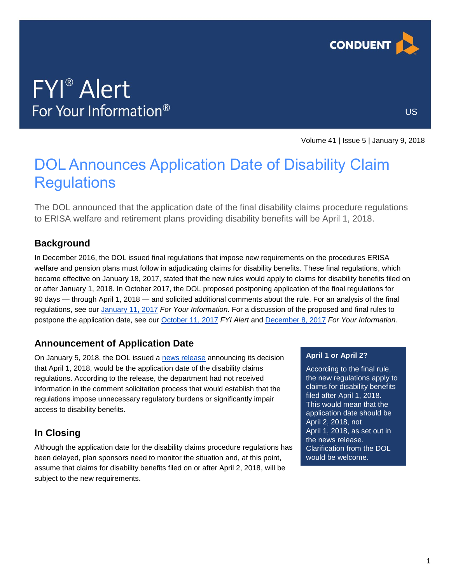

# **FYI**<sup>®</sup> Alert For Your Information®

US

Volume 41 | Issue 5 | January 9, 2018

## DOL Announces Application Date of Disability Claim **Regulations**

The DOL announced that the application date of the final disability claims procedure regulations to ERISA welfare and retirement plans providing disability benefits will be April 1, 2018.

### **Background**

In December 2016, the DOL issued final regulations that impose new requirements on the procedures ERISA welfare and pension plans must follow in adjudicating claims for disability benefits. These final regulations, which became effective on January 18, 2017, stated that the new rules would apply to claims for disability benefits filed on or after January 1, 2018. In October 2017, the DOL proposed postponing application of the final regulations for 90 days — through April 1, 2018 — and solicited additional comments about the rule. For an analysis of the final regulations, see our [January](https://analysis.hrservices.conduent.com/2017/01/11/dol-finalizes-disability-claims-procedure-rules/) 11, 2017 *For Your Information*. For a discussion of the proposed and final rules to postpone the application date, see our [October 11, 2017](https://analysis.hrservices.conduent.com/2017/10/11/dol-proposes-to-delay-application-of-disability-claims-regulations/) *FYI Alert* and [December 8, 2017](https://analysis.hrservices.conduent.com/2017/12/08/dol-delays-application-of-disability-claim-regulations/) *For Your Information.*

### **Announcement of Application Date**

On January 5, 2018, the DOL issued a [news release](https://www.dol.gov/newsroom/releases/ebsa/ebsa20180105) announcing its decision that April 1, 2018, would be the application date of the disability claims regulations. According to the release, the department had not received information in the comment solicitation process that would establish that the regulations impose unnecessary regulatory burdens or significantly impair access to disability benefits.

## **In Closing**

Although the application date for the disability claims procedure regulations has been delayed, plan sponsors need to monitor the situation and, at this point, assume that claims for disability benefits filed on or after April 2, 2018, will be subject to the new requirements.

#### **April 1 or April 2?**

According to the final rule, the new regulations apply to claims for disability benefits filed after April 1, 2018. This would mean that the application date should be April 2, 2018, not April 1, 2018, as set out in the news release. Clarification from the DOL would be welcome.